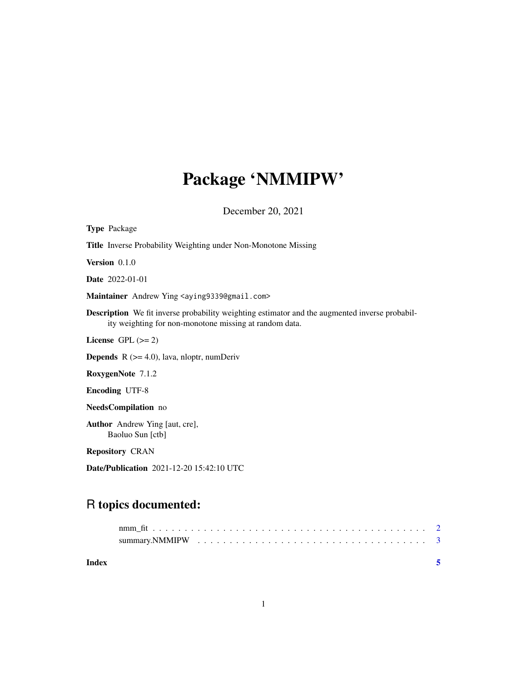## Package 'NMMIPW'

December 20, 2021

| <b>Type Package</b>                                                                                                                                             |
|-----------------------------------------------------------------------------------------------------------------------------------------------------------------|
| <b>Title</b> Inverse Probability Weighting under Non-Monotone Missing                                                                                           |
| Version $0.1.0$                                                                                                                                                 |
| <b>Date</b> 2022-01-01                                                                                                                                          |
| Maintainer Andrew Ying <aying9339@gmail.com></aying9339@gmail.com>                                                                                              |
| <b>Description</b> We fit inverse probability weighting estimator and the augmented inverse probabil-<br>ity weighting for non-monotone missing at random data. |
| License GPL $(>= 2)$                                                                                                                                            |
| <b>Depends</b> $R$ ( $>= 4.0$ ), lava, nloptr, numDeriv                                                                                                         |
| RoxygenNote 7.1.2                                                                                                                                               |
| <b>Encoding UTF-8</b>                                                                                                                                           |
| NeedsCompilation no                                                                                                                                             |
| <b>Author</b> Andrew Ying [aut, cre],<br>Baoluo Sun [ctb]                                                                                                       |
| <b>Repository CRAN</b>                                                                                                                                          |
| <b>Date/Publication</b> 2021-12-20 15:42:10 UTC                                                                                                                 |

### R topics documented:

**Index** [5](#page-4-0). The second state of the second state of the second state of the second state of the second state of the second state of the second state of the second state of the second state of the second state of the second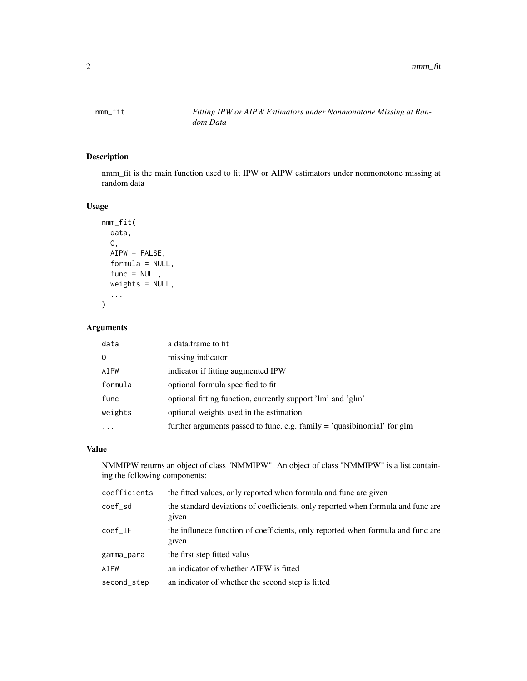<span id="page-1-0"></span>

#### Description

nmm\_fit is the main function used to fit IPW or AIPW estimators under nonmonotone missing at random data

#### Usage

```
nmm_fit(
  data,
  O,
 AIPW = FALSE,
  formula = NULL,
  func = NULL,
 weights = NULL,
  ...
```
#### Arguments

)

| data      | a data frame to fit                                                       |
|-----------|---------------------------------------------------------------------------|
| $\Omega$  | missing indicator                                                         |
| AIPW      | indicator if fitting augmented IPW                                        |
| formula   | optional formula specified to fit.                                        |
| func      | optional fitting function, currently support 'lm' and 'glm'               |
| weights   | optional weights used in the estimation                                   |
| $\ddotsc$ | further arguments passed to func, e.g. family $=$ 'quasibinomial' for glm |

#### Value

NMMIPW returns an object of class "NMMIPW". An object of class "NMMIPW" is a list containing the following components:

| coefficients | the fitted values, only reported when formula and func are given                          |
|--------------|-------------------------------------------------------------------------------------------|
| coef_sd      | the standard deviations of coefficients, only reported when formula and func are<br>given |
| coef IF      | the influne ce function of coefficients, only reported when formula and func are<br>given |
| gamma_para   | the first step fitted valus                                                               |
| AIPW         | an indicator of whether AIPW is fitted                                                    |
| second_step  | an indicator of whether the second step is fitted                                         |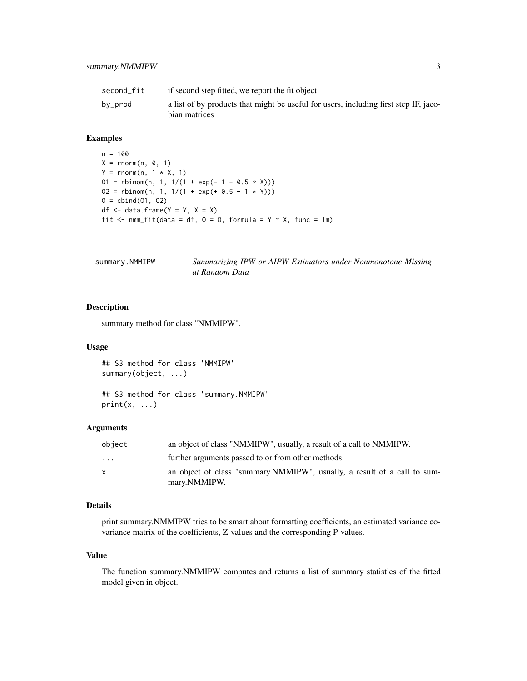<span id="page-2-0"></span>

| second fit | if second step fitted, we report the fit object                                                       |
|------------|-------------------------------------------------------------------------------------------------------|
| by_prod    | a list of by products that might be useful for users, including first step IF, jaco-<br>bian matrices |

#### Examples

```
n = 100
X = rnorm(n, 0, 1)Y = \text{rnorm}(n, 1 * X, 1)01 = \text{rbinom}(n, 1, 1/(1 + \exp(-1 - 0.5 * X)))02 = \text{rbinom}(n, 1, 1/(1 + \exp(+ 0.5 + 1 * Y)))0 = \text{cbind}(01, 02)df \le data.frame(Y = Y, X = X)
fit \leq nmm_fit(data = df, 0 = 0, formula = Y \sim X, func = lm)
```

| summary.NMMIPW | Summarizing IPW or AIPW Estimators under Nonmonotone Missing |  |  |  |
|----------------|--------------------------------------------------------------|--|--|--|
|                | at Random Data                                               |  |  |  |

#### Description

summary method for class "NMMIPW".

#### Usage

## S3 method for class 'NMMIPW' summary(object, ...)

```
## S3 method for class 'summary.NMMIPW'
print(x, \ldots)
```
#### Arguments

| object   | an object of class "NMMIPW", usually, a result of a call to NMMIPW.                       |
|----------|-------------------------------------------------------------------------------------------|
| $\cdots$ | further arguments passed to or from other methods.                                        |
| X        | an object of class "summary. NMMIPW", usually, a result of a call to sum-<br>mary.NMMIPW. |

#### Details

print.summary.NMMIPW tries to be smart about formatting coefficients, an estimated variance covariance matrix of the coefficients, Z-values and the corresponding P-values.

#### Value

The function summary.NMMIPW computes and returns a list of summary statistics of the fitted model given in object.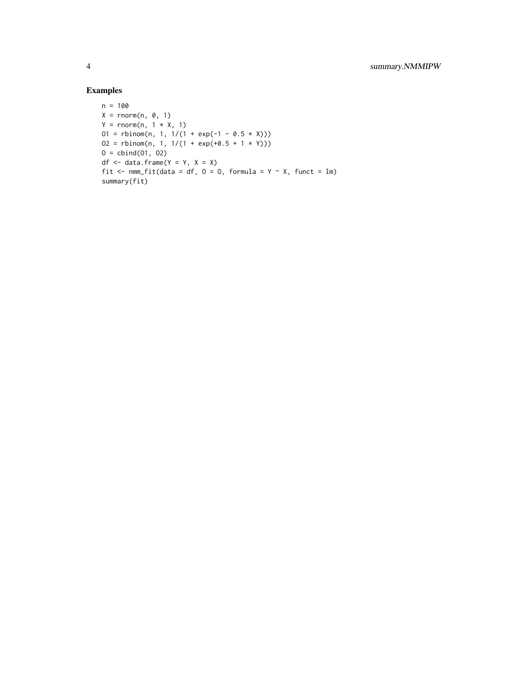#### Examples

```
n = 100
X = rnorm(n, 0, 1)Y = rnorm(n, 1 * X, 1)01 = \text{rbinom}(n, 1, 1/(1 + \exp(-1 - 0.5 * X)))02 = \text{rbinom}(n, 1, 1/(1 + \exp(+0.5 + 1 \times Y)))0 = \text{cbind}(01, 02)df \le data.frame(Y = Y, X = X)
fit \leq nmm_fit(data = df, 0 = 0, formula = Y \sim X, funct = lm)
summary(fit)
```